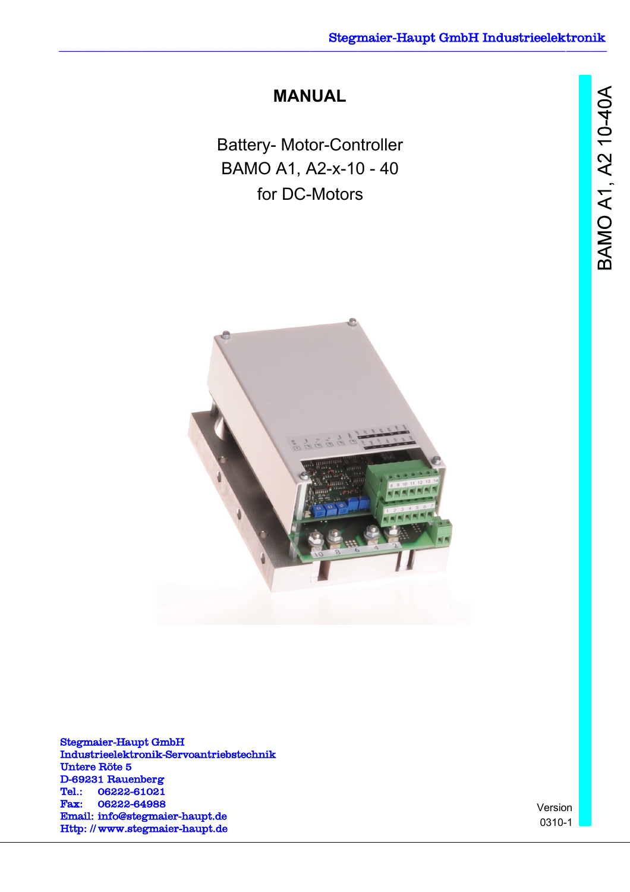# **MANUAL**

Battery- Motor-Controller BAMO A1, A2-x-10 - 40 for DC-Motors



Stegmaier-Haupt GmbH Industrieelektronik-Servoantriebstechnik Untere Röte 5 D-69231 Rauenberg Tel.: 06222-61021 Fax: 06222-64988 Email: [info@stegmaier-haupt.de](mailto:info@stegmaier-haupt.de) Http: // [www.stegmaier-haupt.de](http://www.stegmaier-haupt.de/)

Version 0310-1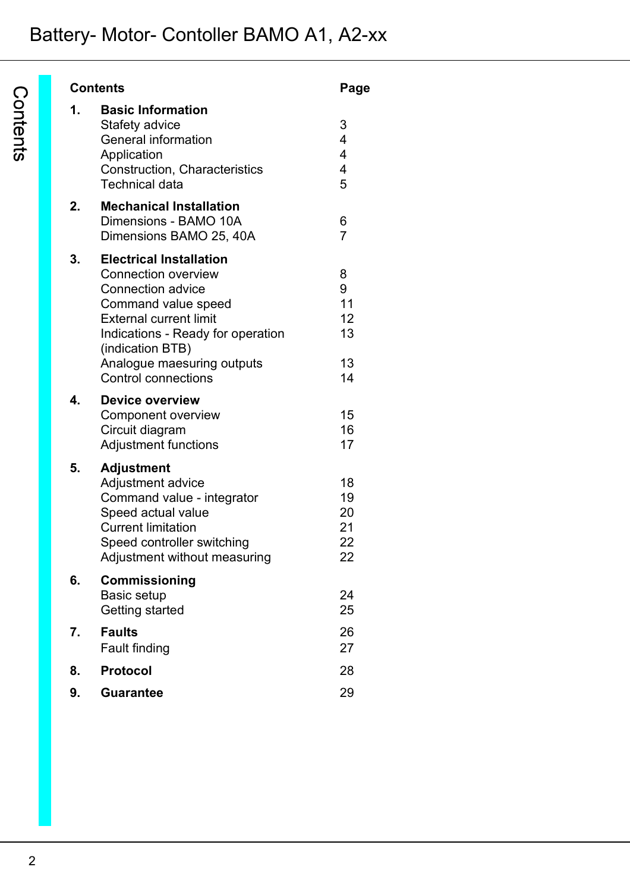| <b>Contents</b> | Page                                                                                                                                                                                                                                                                  |                                      |
|-----------------|-----------------------------------------------------------------------------------------------------------------------------------------------------------------------------------------------------------------------------------------------------------------------|--------------------------------------|
| 1.              | <b>Basic Information</b><br>Stafety advice<br><b>General information</b><br>Application<br>Construction, Characteristics<br><b>Technical data</b>                                                                                                                     | 3<br>4<br>4<br>4<br>5                |
| 2.              | <b>Mechanical Installation</b><br>Dimensions - BAMO 10A<br>Dimensions BAMO 25, 40A                                                                                                                                                                                    | 6<br>$\overline{7}$                  |
| 3.              | <b>Electrical Installation</b><br><b>Connection overview</b><br><b>Connection advice</b><br>Command value speed<br><b>External current limit</b><br>Indications - Ready for operation<br>(indication BTB)<br>Analogue maesuring outputs<br><b>Control connections</b> | 8<br>9<br>11<br>12<br>13<br>13<br>14 |
| 4.              | <b>Device overview</b><br>Component overview<br>Circuit diagram<br><b>Adjustment functions</b>                                                                                                                                                                        | 15<br>16<br>17                       |
| 5.              | <b>Adjustment</b><br>Adjustment advice<br>Command value - integrator<br>Speed actual value<br><b>Current limitation</b><br>Speed controller switching<br>Adjustment without measuring                                                                                 | 18<br>19<br>20<br>21<br>22<br>22     |
| 6.              | Commissioning<br><b>Basic setup</b><br>Getting started                                                                                                                                                                                                                | 24<br>25                             |
| 7.              | <b>Faults</b><br>Fault finding                                                                                                                                                                                                                                        | 26<br>27                             |
| 8.              | <b>Protocol</b>                                                                                                                                                                                                                                                       | 28                                   |
| 9.              | <b>Guarantee</b>                                                                                                                                                                                                                                                      | 29                                   |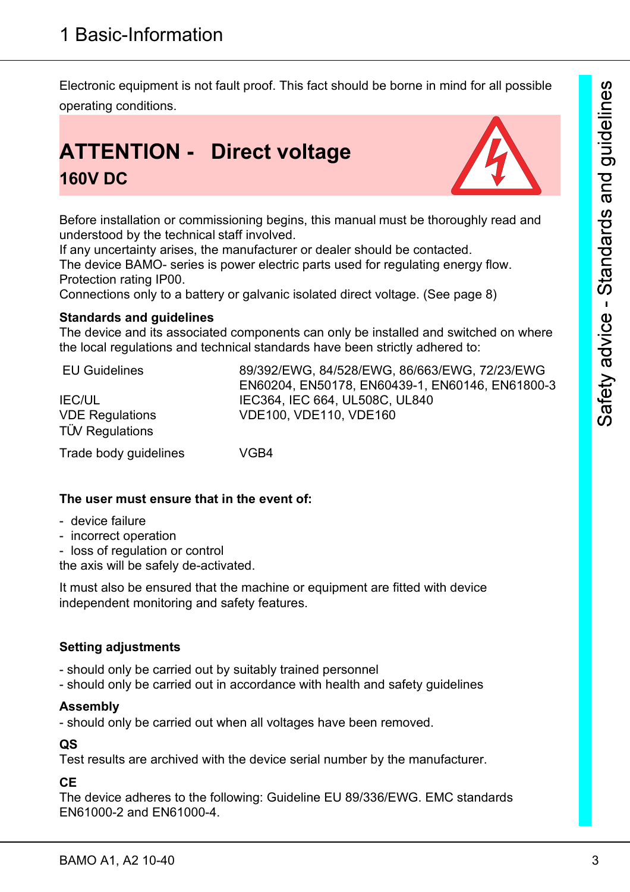Electronic equipment is not fault proof. This fact should be borne in mind for all possible operating conditions.

# **ATTENTION - Direct voltage 160V DC**



Before installation or commissioning begins, this manual must be thoroughly read and understood by the technical staff involved.

If any uncertainty arises, the manufacturer or dealer should be contacted.

The device BAMO- series is power electric parts used for regulating energy flow. Protection rating IP00.

Connections only to a battery or galvanic isolated direct voltage. (See page 8)

#### **Standards and guidelines**

The device and its associated components can only be installed and switched on where the local regulations and technical standards have been strictly adhered to:

| <b>EU Guidelines</b>                             | 89/392/EWG, 84/528/EWG, 86/663/EWG, 72/23/EWG<br>EN60204, EN50178, EN60439-1, EN60146, EN61800-3 |
|--------------------------------------------------|--------------------------------------------------------------------------------------------------|
| <b>IEC/UL</b>                                    | IEC364, IEC 664, UL508C, UL840                                                                   |
| <b>VDE Regulations</b><br><b>TÜV Regulations</b> | VDE100, VDE110, VDE160                                                                           |
| Trade body guidelines                            | VGB4                                                                                             |

#### **The user must ensure that in the event of:**

- device failure
- incorrect operation
- loss of regulation or control

the axis will be safely de-activated.

It must also be ensured that the machine or equipment are fitted with device independent monitoring and safety features.

#### **Setting adjustments**

- should only be carried out by suitably trained personnel

- should only be carried out in accordance with health and safety guidelines

#### **Assembly**

- should only be carried out when all voltages have been removed.

#### **QS**

Test results are archived with the device serial number by the manufacturer.

#### **CE**

The device adheres to the following: Guideline EU 89/336/EWG. EMC standards EN61000-2 and EN61000-4.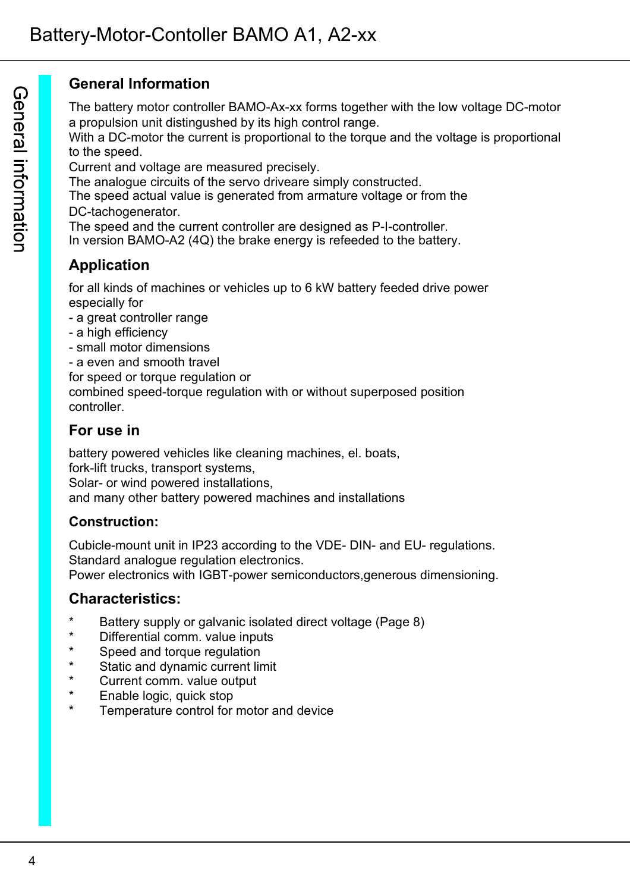# **General Information**

The battery motor controller BAMO-Ax-xx forms together with the low voltage DC-motor a propulsion unit distingushed by its high control range.

With a DC-motor the current is proportional to the torque and the voltage is proportional to the speed.

Current and voltage are measured precisely.

The analogue circuits of the servo driveare simply constructed.

The speed actual value is generated from armature voltage or from the DC-tachogenerator.

The speed and the current controller are designed as P-I-controller.

In version BAMO-A2 (4Q) the brake energy is refeeded to the battery.

# **Application**

for all kinds of machines or vehicles up to 6 kW battery feeded drive power especially for

- a great controller range
- a high efficiency
- small motor dimensions
- a even and smooth travel
- for speed or torque regulation or

combined speed-torque regulation with or without superposed position controller.

# **For use in**

battery powered vehicles like cleaning machines, el. boats, fork-lift trucks, transport systems, Solar- or wind powered installations,

and many other battery powered machines and installations

# **Construction:**

Cubicle-mount unit in IP23 according to the VDE- DIN- and EU- regulations. Standard analogue regulation electronics.

Power electronics with IGBT-power semiconductors,generous dimensioning.

# **Characteristics:**

- Battery supply or galvanic isolated direct voltage (Page 8)
- Differential comm. value inputs
- Speed and torque regulation
- Static and dynamic current limit
- Current comm. value output
- Enable logic, quick stop
- Temperature control for motor and device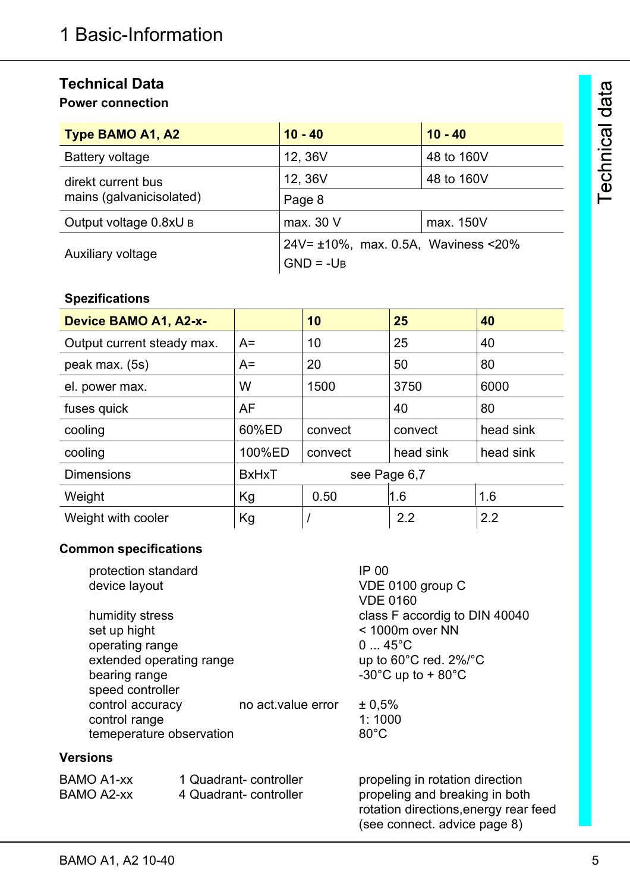# **Technical Data**

# **Power connection**

| Type BAMO A1, A2         | $10 - 40$                                   | $10 - 40$  |  |
|--------------------------|---------------------------------------------|------------|--|
| <b>Battery voltage</b>   | 12, 36V                                     | 48 to 160V |  |
| direkt current bus       | 12, 36V                                     | 48 to 160V |  |
| mains (galvanicisolated) | Page 8                                      |            |  |
| Output voltage 0.8xU B   | max. 30 V                                   | max. 150V  |  |
|                          | $24V = \pm 10\%$ , max. 0.5A, Waviness <20% |            |  |
| Auxiliary voltage        | $GND = -UB$                                 |            |  |

# **Spezifications**

| <b>Device BAMO A1, A2-x-</b> |              | 10           | 25        | 40        |
|------------------------------|--------------|--------------|-----------|-----------|
| Output current steady max.   | $A=$         | 10           | 25        | 40        |
| peak max. (5s)               | $A=$         | 20           | 50        | 80        |
| W<br>el. power max.          |              | 1500         | 3750      | 6000      |
| fuses quick                  | AF           |              | 40        | 80        |
| cooling                      | 60%ED        |              | convect   | head sink |
| cooling                      | 100%ED       | convect      | head sink | head sink |
| <b>Dimensions</b>            | <b>BxHxT</b> | see Page 6,7 |           |           |
| Weight                       | Kg           | 0.50         | 1.6       | 1.6       |
| Weight with cooler           | Kg           |              | 2.2       | 2.2       |

# **Common specifications**

| protection standard<br>device layout                                                    |                                                | IP 00<br>VDE 0100 group C<br><b>VDE 0160</b>                                                                                                                           |
|-----------------------------------------------------------------------------------------|------------------------------------------------|------------------------------------------------------------------------------------------------------------------------------------------------------------------------|
| humidity stress<br>set up hight<br>operating range<br>bearing range<br>speed controller | extended operating range                       | class F accordig to DIN 40040<br>$<$ 1000 $m$ over NN<br>$045^{\circ}$ C<br>up to $60^{\circ}$ C red. $2\%$ / $^{\circ}$ C<br>-30 $^{\circ}$ C up to + 80 $^{\circ}$ C |
| control accuracy<br>control range                                                       | no act.value error<br>temeperature observation | ± 0.5%<br>1:1000<br>$80^{\circ}$ C                                                                                                                                     |
| <b>Versions</b>                                                                         |                                                |                                                                                                                                                                        |
| <b>BAMO A1-xx</b><br><b>BAMO A2-xx</b>                                                  | 1 Quadrant-controller<br>4 Quadrant-controller | propeling in rotation direction<br>propeling and breaking in both<br>rotation directions, energy rear feed<br>(see connect. advice page 8)                             |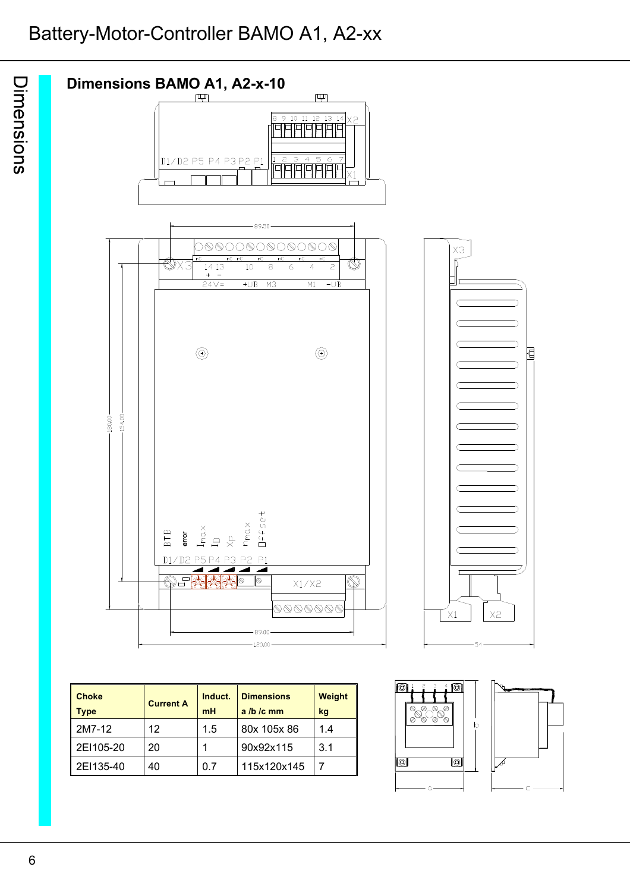

| <b>Choke</b><br>Type | <b>Current A</b> | Induct.<br>mH | <b>Dimensions</b><br>$a/b/c$ mm | Weight<br>kg |
|----------------------|------------------|---------------|---------------------------------|--------------|
| 2M7-12               | 12               | 1.5           | 80x 105x 86                     | 1.4          |
| 2EI105-20            | 20               |               | 90x92x115                       | 3.1          |
| 2EI135-40            | 40               | ი 7           | 115x120x145                     |              |

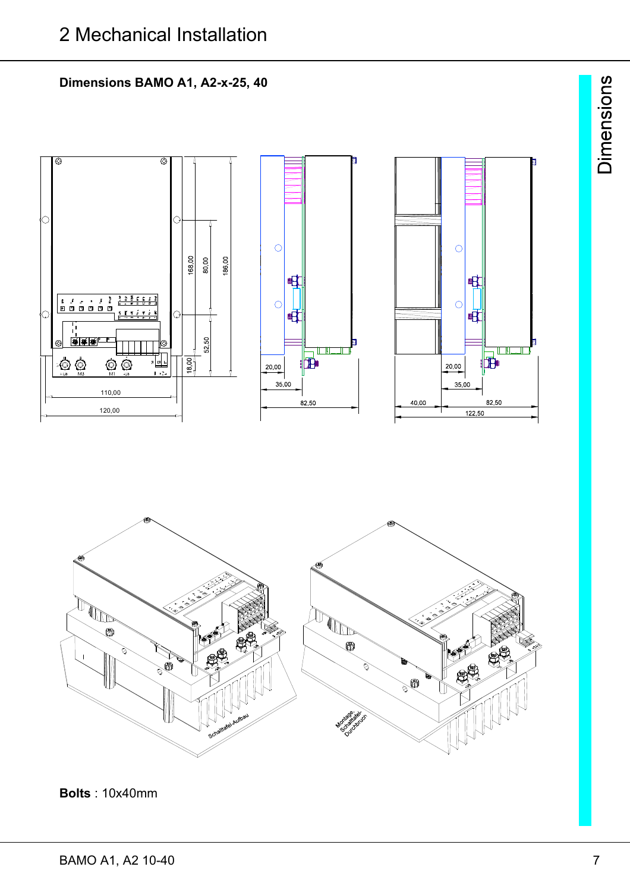**Dimensions BAMO A1, A2-x-25, 40**





**Bolts** : 10x40mm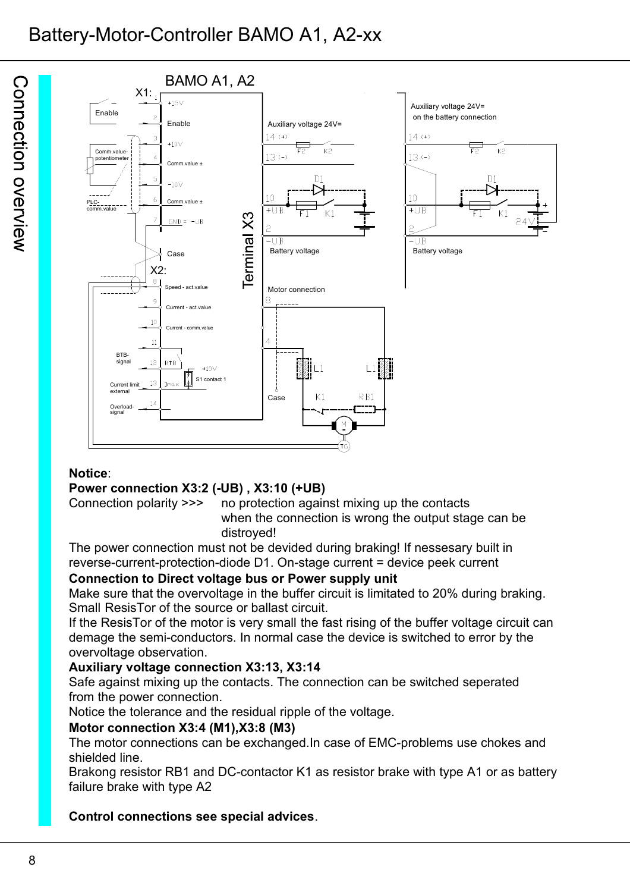

## **Notice**:

#### **Power connection X3:2 (-UB) , X3:10 (+UB)**

Connection polarity >>> no protection against mixing up the contacts when the connection is wrong the output stage can be distroyed!

The power connection must not be devided during braking! If nessesary built in reverse-current-protection-diode D1. On-stage current = device peek current

## **Connection to Direct voltage bus or Power supply unit**

Make sure that the overvoltage in the buffer circuit is limitated to 20% during braking. Small ResisTor of the source or ballast circuit.

If the ResisTor of the motor is very small the fast rising of the buffer voltage circuit can demage the semi-conductors. In normal case the device is switched to error by the overvoltage observation.

## **Auxiliary voltage connection X3:13, X3:14**

Safe against mixing up the contacts. The connection can be switched seperated from the power connection.

Notice the tolerance and the residual ripple of the voltage.

# **Motor connection X3:4 (M1),X3:8 (M3)**

The motor connections can be exchanged.In case of EMC-problems use chokes and shielded line.

Brakong resistor RB1 and DC-contactor K1 as resistor brake with type A1 or as battery failure brake with type A2

# **Control connections see special advices**.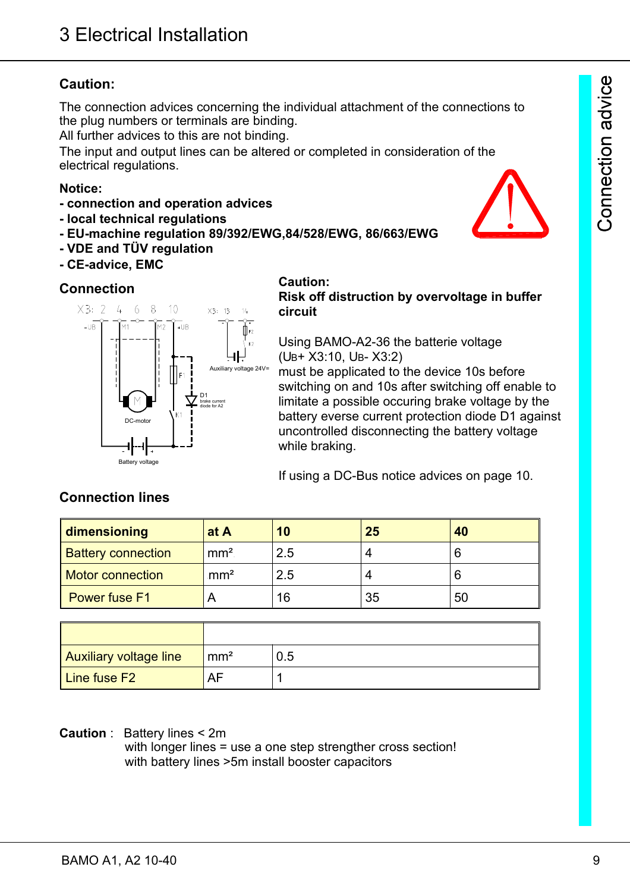# **Caution:**

The connection advices concerning the individual attachment of the connections to the plug numbers or terminals are binding.

All further advices to this are not binding.

The input and output lines can be altered or completed in consideration of the electrical regulations.

#### **Notice:**

**- connection and operation advices**

 $-10$ 

—<br>∓UB

 $\sqrt{M^2}$ 

- **local technical regulations**
- **EU-machine regulation 89/392/EWG,84/528/EWG, 86/663/EWG**

Auxiliary voltage 24V=

 $14$ 

D1 brake current diode for A2

 $X3: 13$ 

**- VDE and TÜV regulation**

6 8

.<br>M1

**- CE-advice, EMC**

# **Connection**  $X3: 24$

 $-UB$ 

#### **Caution:**

**Risk off distruction by overvoltage in buffer circuit**

Using BAMO-A2-36 the batterie voltage (UB+ X3:10, UB- X3:2)

must be applicated to the device 10s before switching on and 10s after switching off enable to limitate a possible occuring brake voltage by the battery everse current protection diode D1 against uncontrolled disconnecting the battery voltage while braking.

If using a DC-Bus notice advices on page 10.

| dimensioning              | at A            | 10  | 25 | 40 |
|---------------------------|-----------------|-----|----|----|
| <b>Battery connection</b> | mm <sup>2</sup> | 2.5 |    |    |
| <b>Motor connection</b>   | mm <sup>2</sup> | 2.5 |    |    |
| <b>Power fuse F1</b>      |                 | 16  | 35 | 50 |

# **Connection lines**

**Batten** 

DC-motor

| Auxiliary voltage line | mm <sup>2</sup> | 0.5 |
|------------------------|-----------------|-----|
| Line fuse $F2$         | AF              |     |

**Caution** : Battery lines < 2m with longer lines = use a one step strengther cross section! with battery lines >5m install booster capacitors

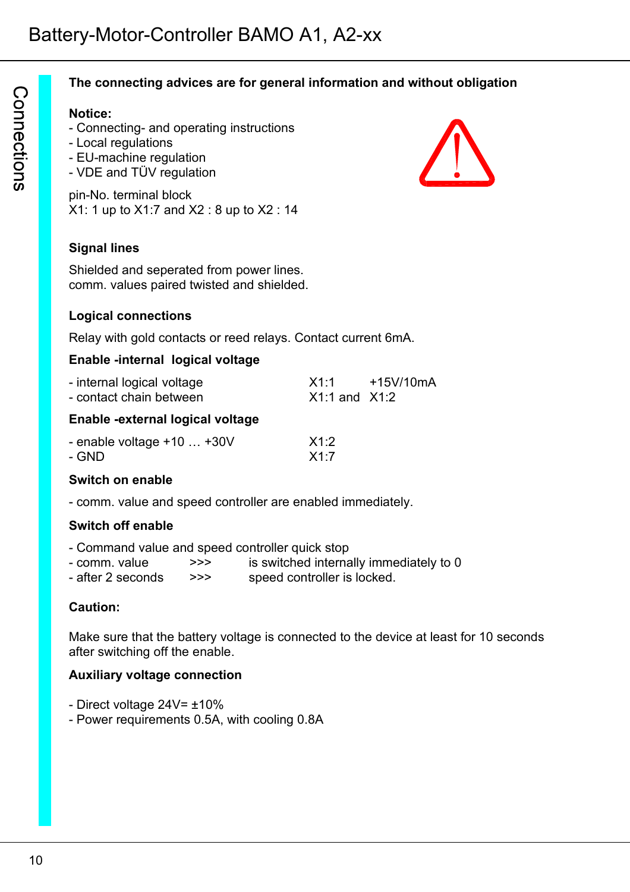#### **The connecting advices are for general information and without obligation**

#### **Notice:**

- Connecting- and operating instructions
- Local regulations
- EU-machine regulation
- VDE and TÜV regulation

pin-No. terminal block X1: 1 up to X1:7 and X2 : 8 up to X2 : 14



# **Signal lines**

Shielded and seperated from power lines. comm. values paired twisted and shielded.

#### **Logical connections**

Relay with gold contacts or reed relays. Contact current 6mA.

## **Enable -internal logical voltage**

| - internal logical voltage | X1:1              | +15V/10mA |
|----------------------------|-------------------|-----------|
| - contact chain between    | $X1:1$ and $X1:2$ |           |

#### **Enable -external logical voltage**

| - enable voltage $+10$ $+30V$ | X1:2 |
|-------------------------------|------|
| - GND                         | X1:7 |

#### **Switch on enable**

- comm. value and speed controller are enabled immediately.

## **Switch off enable**

|                   |     | - Command value and speed controller quick stop |
|-------------------|-----|-------------------------------------------------|
| - comm. value     | >>> | is switched internally immediately to 0         |
| - after 2 seconds | >>  | speed controller is locked.                     |

## **Caution:**

Make sure that the battery voltage is connected to the device at least for 10 seconds after switching off the enable.

## **Auxiliary voltage connection**

- Direct voltage 24V= ±10%
- Power requirements 0.5A, with cooling 0.8A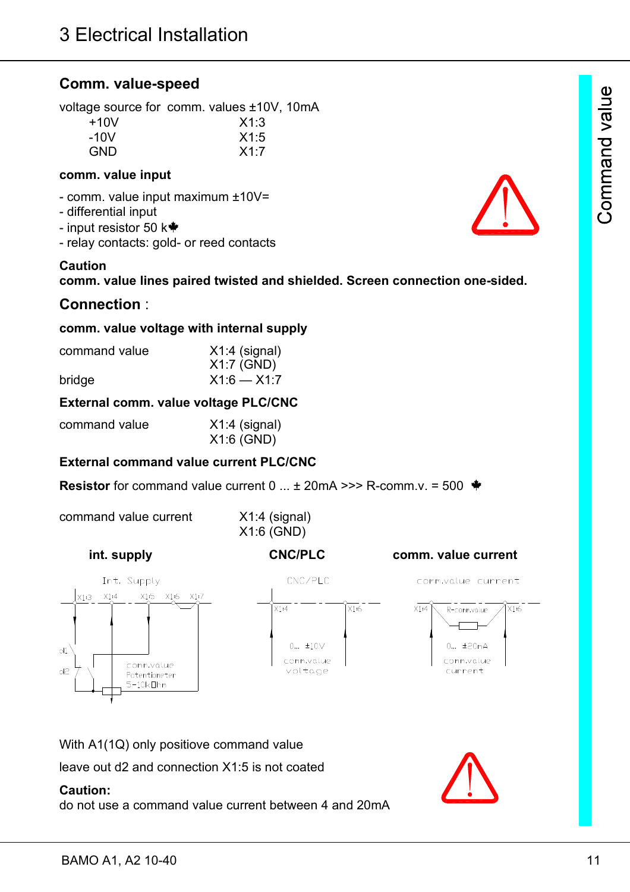# **Comm. value-speed**

voltage source for comm. values ±10V, 10mA

| $+10V$     | X1:3 |
|------------|------|
| $-10V$     | X1:5 |
| <b>GND</b> | X1:7 |

#### **comm. value input**

- comm. value input maximum ±10V=

- differential input

- input resistor 50  $k$ <sup>\*</sup>

- relay contacts: gold- or reed contacts

#### **Caution**

**comm. value lines paired twisted and shielded. Screen connection one-sided.**

# **Connection** :

#### **comm. value voltage with internal supply**

| command value | $X1.4$ (signal) |
|---------------|-----------------|
|               | $X1:7$ (GND)    |
| bridge        | $X1:6 - X1:7$   |

#### **External comm. value voltage PLC/CNC**

| command value | $X1:4$ (signal) |
|---------------|-----------------|
|               | $X1:6$ (GND)    |

## **External command value current PLC/CNC**

**Resistor** for command value current  $0 ... \pm 20$   $\rightarrow$   $R$ -comm.v. = 500  $\rightarrow$ 

command value current X1:4 (signal)

X1:6 (GND)

#### **int. supply CNC/PLC comm. value current**



CNC/PLC

 $0...$   $\pm 10 \vee$ 

comm.value

voltage



comm.value current



With A1(1Q) only positiove command value

leave out d2 and connection X1:5 is not coated

# **Caution:**

do not use a command value current between 4 and 20mA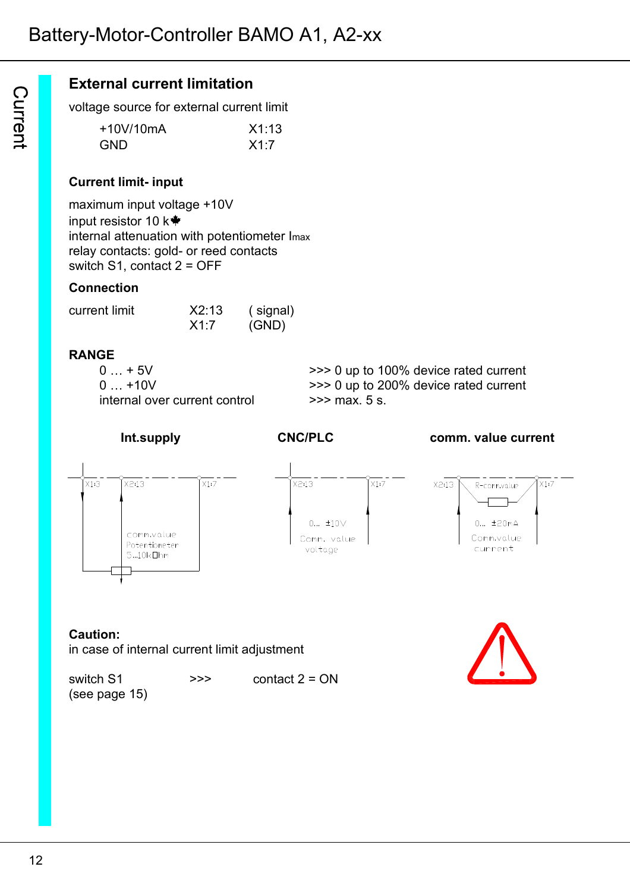# **External current limitation**

voltage source for external current limit

| $+10V/10mA$ | X1:13 |
|-------------|-------|
| <b>GND</b>  | X1:7  |

## **Current limit- input**

maximum input voltage +10V input resistor 10  $k$ <sup>\*</sup> internal attenuation with potentiometer Imax relay contacts: gold- or reed contacts switch S1, contact 2 = OFF

## **Connection**

| current limit | X2:13 | (signal) |
|---------------|-------|----------|
|               | X1.7  | (GND)    |

# **RANGE**

| $0 + 5V$                      |
|-------------------------------|
| $0+10V$                       |
| internal over current control |

 $\gg$  0 up to 100% device rated current  $\gg$  0 up to 200% device rated current  $\gg$  max. 5 s.

#### **Int.supply CNC/PLC comm. value current**  $x_{2:13}$  $\overline{x_{1:7}}$  $X2:13$  $\overline{\chi_{1:3}}$  $X2:13$  $\overline{\chi_1}$ R-comm.value  $0... 10V$  $0...$  ±20mA comm.value Comm. value Comm.value Potentiometer current voltage 5...10kDhm

## **Caution:**

in case of internal current limit adjustment



switch S1  $\rightarrow$  >>> contact 2 = ON (see page 15)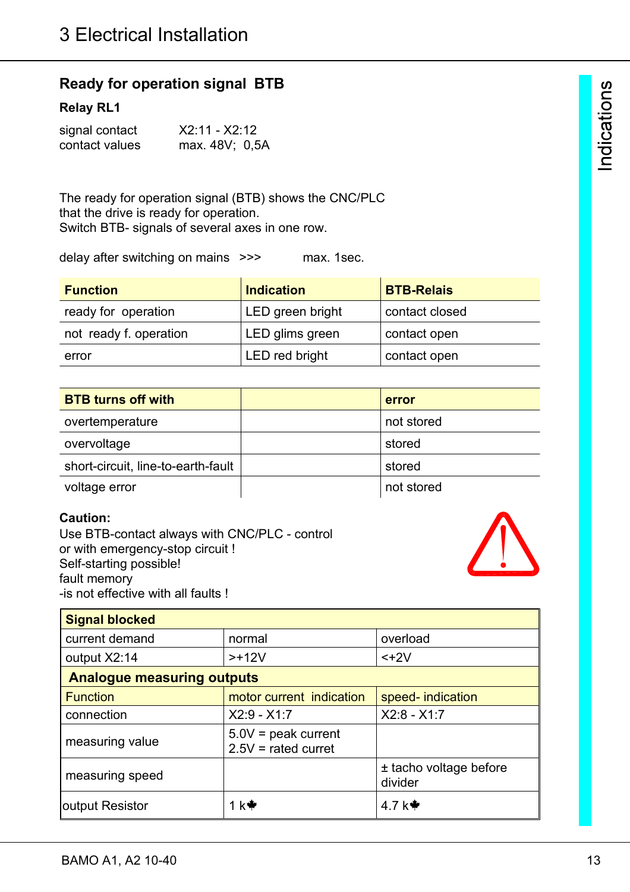# **Ready for operation signal BTB**

# **Relay RL1**

| signal contact | $X2:11 - X2:12$ |  |
|----------------|-----------------|--|
| contact values | max. 48V; 0,5A  |  |

The ready for operation signal (BTB) shows the CNC/PLC that the drive is ready for operation. Switch BTB- signals of several axes in one row.

delay after switching on mains >>> max. 1sec.

| <b>Function</b>        | <b>Indication</b> | <b>BTB-Relais</b> |
|------------------------|-------------------|-------------------|
| ready for operation    | LED green bright  | contact closed    |
| not ready f. operation | LED glims green   | contact open      |
| error                  | LED red bright    | contact open      |

| <b>BTB turns off with</b>          | error      |
|------------------------------------|------------|
| overtemperature                    | not stored |
| overvoltage                        | stored     |
| short-circuit, line-to-earth-fault | stored     |
| voltage error                      | not stored |

## **Caution:**

Use BTB-contact always with CNC/PLC - control or with emergency-stop circuit ! Self-starting possible! fault memory -is not effective with all faults !



| <b>Signal blocked</b>             |                                                |                                   |
|-----------------------------------|------------------------------------------------|-----------------------------------|
| current demand                    | normal                                         | overload                          |
| output X2:14                      | $>+12V$                                        | $<+2V$                            |
| <b>Analogue measuring outputs</b> |                                                |                                   |
| <b>Function</b>                   | motor current indication                       | speed- indication                 |
| connection                        | $X2:9 - X1:7$                                  | $X2:8 - X1:7$                     |
| measuring value                   | $5.0V = peak current$<br>$2.5V$ = rated curret |                                   |
| measuring speed                   |                                                | ± tacho voltage before<br>divider |
| output Resistor                   | 1 k*                                           | 4.7 $k$ $\bullet$                 |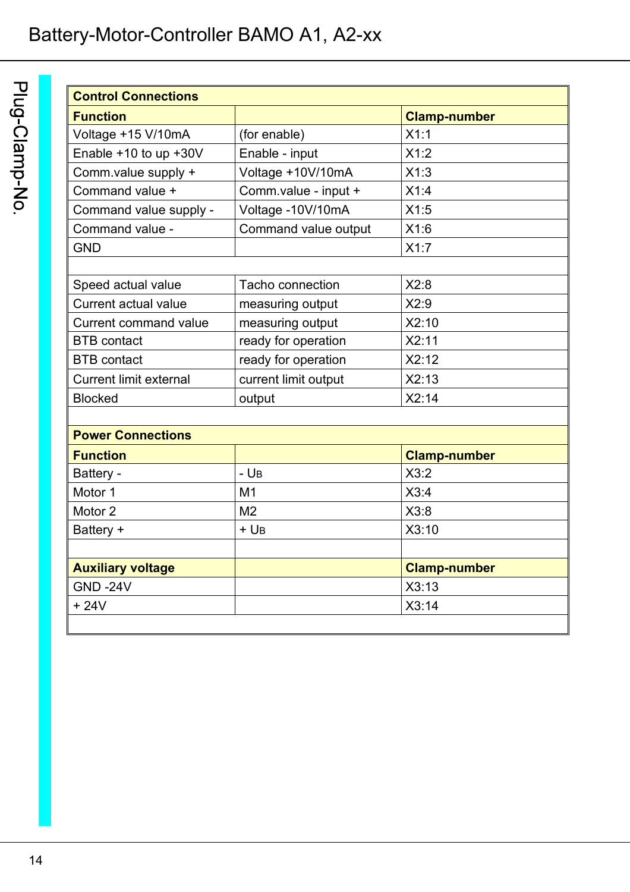| <b>Control Connections</b>    |                      |                     |
|-------------------------------|----------------------|---------------------|
|                               |                      |                     |
| <b>Function</b>               |                      | <b>Clamp-number</b> |
| Voltage +15 V/10mA            | (for enable)         | X1:1                |
| Enable $+10$ to up $+30V$     | Enable - input       | X1:2                |
| Comm.value supply +           | Voltage +10V/10mA    | X1:3                |
| Command value +               | Comm.value - input + | X1:4                |
| Command value supply -        | Voltage - 10V/10mA   | X1:5                |
| Command value -               | Command value output | X1:6                |
| <b>GND</b>                    |                      | X1:7                |
|                               |                      |                     |
| Speed actual value            | Tacho connection     | X2:8                |
| <b>Current actual value</b>   | measuring output     | X2:9                |
| <b>Current command value</b>  | measuring output     | X2:10               |
| <b>BTB</b> contact            | ready for operation  | X2:11               |
| <b>BTB</b> contact            | ready for operation  | X2:12               |
| <b>Current limit external</b> | current limit output | X2:13               |
| <b>Blocked</b>                | output               | X2:14               |
|                               |                      |                     |
| <b>Power Connections</b>      |                      |                     |
| <b>Function</b>               |                      | <b>Clamp-number</b> |
| Battery -                     | $-$ U <sub>B</sub>   | X3:2                |
| Motor 1                       | M <sub>1</sub>       | X3:4                |
| Motor <sub>2</sub>            | M <sub>2</sub>       | X3:8                |
| Battery +                     | $+$ U <sub>B</sub>   | X3:10               |
|                               |                      |                     |
| <b>Auxiliary voltage</b>      |                      | <b>Clamp-number</b> |
| <b>GND -24V</b>               |                      | X3:13               |
| $+24V$                        |                      | X3:14               |
|                               |                      |                     |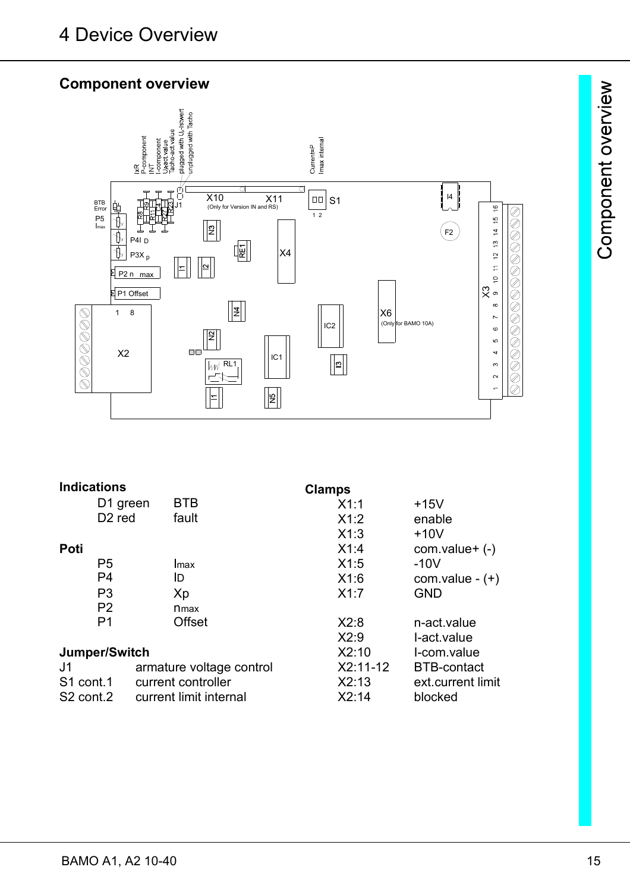# **Component overview**



| <b>Indications</b>                |                          | <b>Clamps</b> |                    |
|-----------------------------------|--------------------------|---------------|--------------------|
| D <sub>1</sub> green              | <b>BTB</b>               | X1:1          | $+15V$             |
| D <sub>2</sub> red                | fault                    | X1:2          | enable             |
|                                   |                          | X1:3          | $+10V$             |
| <b>Poti</b>                       |                          | X1:4          | $com.value + (-)$  |
| P <sub>5</sub>                    | Imax                     | X1:5          | $-10V$             |
| P <sub>4</sub>                    | ID                       | X1:6          | com.value $- (+)$  |
| P <sub>3</sub>                    | Xp                       | X1:7          | <b>GND</b>         |
| P <sub>2</sub>                    | <b>n</b> max             |               |                    |
| P <sub>1</sub>                    | Offset                   | X2:8          | n-act.value        |
|                                   |                          | X2:9          | I-act.value        |
| Jumper/Switch                     |                          | X2:10         | I-com.value        |
| J1                                | armature voltage control | $X2:11-12$    | <b>BTB-contact</b> |
| S1 cont.1                         | current controller       | X2:13         | ext.current limit  |
| S <sub>2</sub> cont. <sub>2</sub> | current limit internal   | X2:14         | blocked            |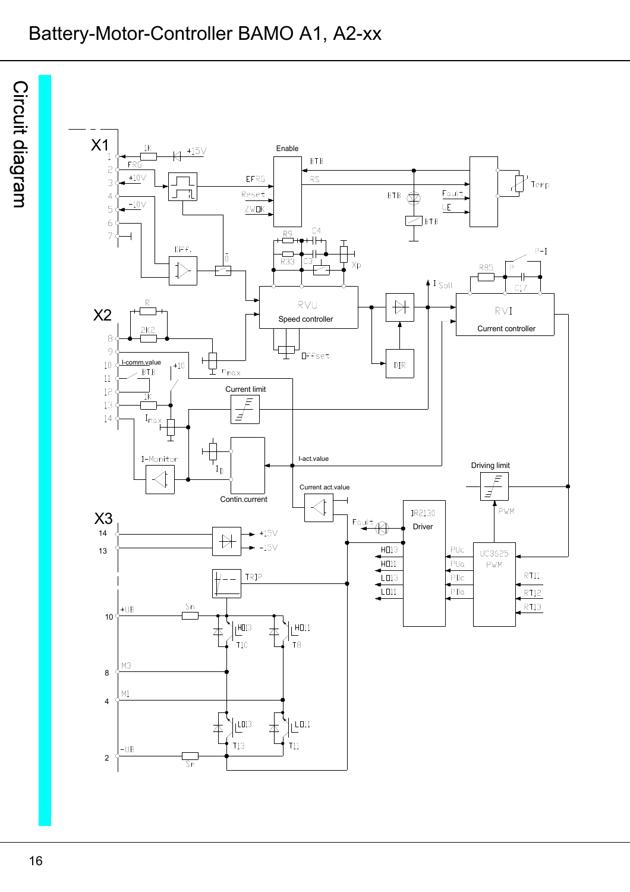# Battery-Motor-Controller BAMO A1, A2-xx

Circuit diagram

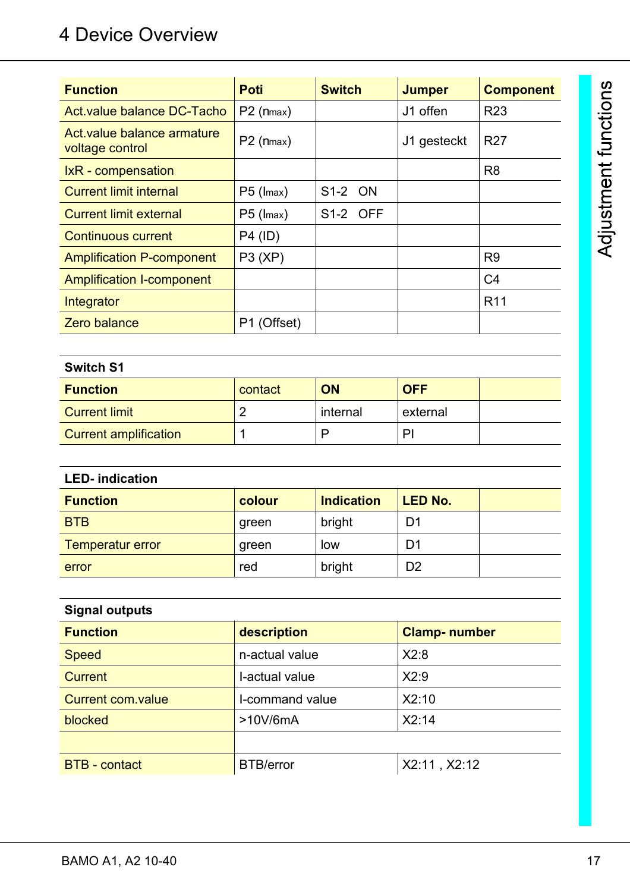# 4 Device Overview

| <b>Function</b>                                | <b>Poti</b>            | <b>Switch</b> | <b>Jumper</b> | <b>Component</b> |
|------------------------------------------------|------------------------|---------------|---------------|------------------|
| Act. value balance DC-Tacho                    | $P2$ (nmax)            |               | J1 offen      | R <sub>23</sub>  |
| Act. value balance armature<br>voltage control | $P2$ (nmax)            |               | J1 gesteckt   | <b>R27</b>       |
| IxR - compensation                             |                        |               |               | R <sub>8</sub>   |
| <b>Current limit internal</b>                  | $P5$ ( $\text{Imax}$ ) | S1-2 ON       |               |                  |
| <b>Current limit external</b>                  | $P5$ ( $\text{Imax}$ ) | S1-2 OFF      |               |                  |
| <b>Continuous current</b>                      | <b>P4 (ID)</b>         |               |               |                  |
| <b>Amplification P-component</b>               | P3(XP)                 |               |               | R <sub>9</sub>   |
| <b>Amplification I-component</b>               |                        |               |               | C <sub>4</sub>   |
| Integrator                                     |                        |               |               | R <sub>11</sub>  |
| Zero balance                                   | P1 (Offset)            |               |               |                  |

## **Switch S1**

| <b>Function</b>              | contact | ON       | <b>OFF</b> |  |
|------------------------------|---------|----------|------------|--|
| <b>Current limit</b>         |         | internal | external   |  |
| <b>Current amplification</b> |         |          | ΡI         |  |

| <b>LED-</b> indication  |        |                   |                |  |
|-------------------------|--------|-------------------|----------------|--|
| <b>Function</b>         | colour | <b>Indication</b> | <b>LED No.</b> |  |
| <b>BTB</b>              | green  | bright            | D1             |  |
| <b>Temperatur error</b> | green  | low               | D1             |  |
| error                   | red    | bright            | D <sub>2</sub> |  |

| <b>Signal outputs</b>    |                  |                     |  |  |
|--------------------------|------------------|---------------------|--|--|
| <b>Function</b>          | description      | <b>Clamp-number</b> |  |  |
| <b>Speed</b>             | n-actual value   | X2:8                |  |  |
| <b>Current</b>           | I-actual value   | X2:9                |  |  |
| <b>Current com.value</b> | I-command value  | X2:10               |  |  |
| blocked                  | >10V/6mA         | X2:14               |  |  |
|                          |                  |                     |  |  |
| <b>BTB</b> - contact     | <b>BTB/error</b> | X2:11, X2:12        |  |  |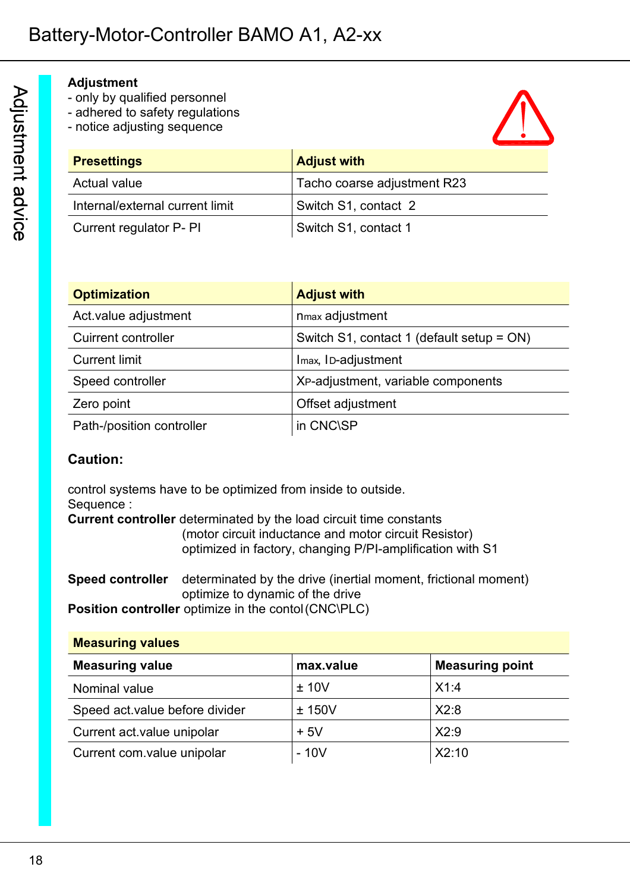#### **Adjustment**

- only by qualified personnel
- adhered to safety regulations
- notice adjusting sequence

| <b>Presettings</b>              | <b>Adjust with</b>          |
|---------------------------------|-----------------------------|
| Actual value                    | Tacho coarse adjustment R23 |
| Internal/external current limit | Switch S1, contact 2        |
| Current regulator P- PI         | Switch S1, contact 1        |

| <b>Optimization</b>        | <b>Adjust with</b>                        |
|----------------------------|-------------------------------------------|
| Act.value adjustment       | n <sub>max</sub> adjustment               |
| <b>Cuirrent controller</b> | Switch S1, contact 1 (default setup = ON) |
| <b>Current limit</b>       | Imax, ID-adjustment                       |
| Speed controller           | XP-adjustment, variable components        |
| Zero point                 | Offset adjustment                         |
| Path-/position controller  | in CNC\SP                                 |

# **Caution:**

control systems have to be optimized from inside to outside. Sequence :

**Current controller** determinated by the load circuit time constants (motor circuit inductance and motor circuit Resistor) optimized in factory, changing P/PI-amplification with S1

**Speed controller** determinated by the drive (inertial moment, frictional moment) optimize to dynamic of the drive **Position controller** optimize in the contol (CNC\PLC)

| <b>Measuring values</b> |
|-------------------------|
|-------------------------|

| <b>Measuring value</b>         | max.value | <b>Measuring point</b> |
|--------------------------------|-----------|------------------------|
| Nominal value                  | ± 10V     | X1:4                   |
| Speed act value before divider | ± 150V    | X2:8                   |
| Current act. value unipolar    | $+5V$     | X2:9                   |
| Current com.value unipolar     | $-10V$    | X2:10                  |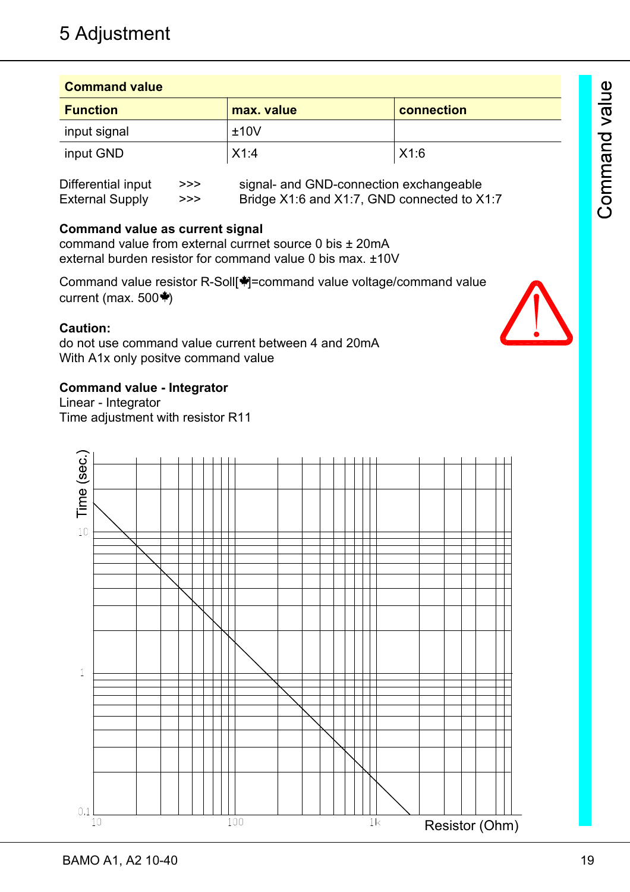**Command value**

| Command value   |            |            |  |  |
|-----------------|------------|------------|--|--|
| <b>Function</b> | max. value | connection |  |  |
| input signal    | ±10V       |            |  |  |
| input GND       | X1:4       | X1:6       |  |  |

| Differential input     | >>> | signal- and GND-connection exchangeable     |
|------------------------|-----|---------------------------------------------|
| <b>External Supply</b> | >>> | Bridge X1:6 and X1:7, GND connected to X1:7 |

# **Command value as current signal**

command value from external currnet source 0 bis ± 20mA external burden resistor for command value 0 bis max. ±10V

Command value resistor R-Soll[\*]=command value voltage/command value current (max.  $500$ )

#### **Caution:**

do not use command value current between 4 and 20mA With A1x only positve command value

# **Command value - Integrator**

Linear - Integrator Time adjustment with resistor R11

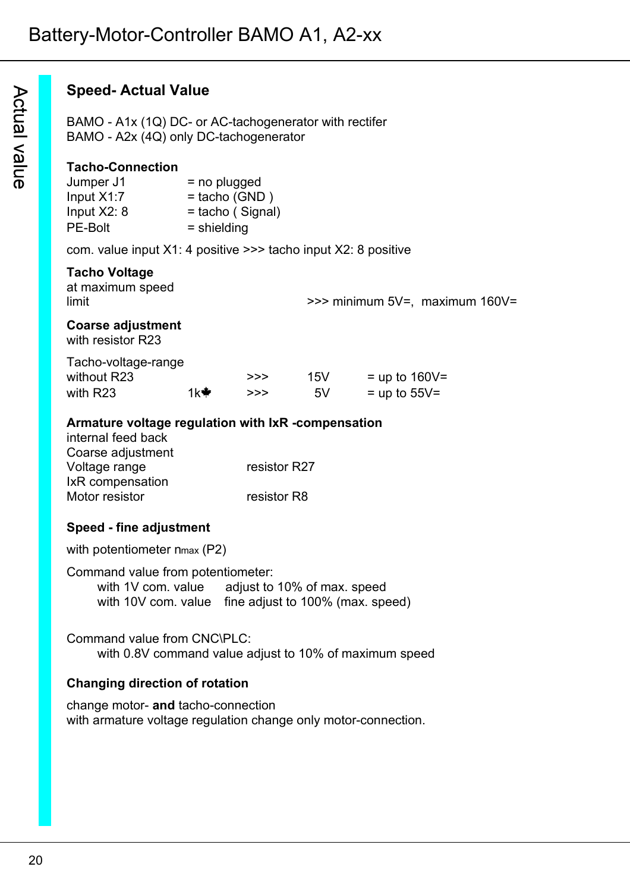# **Speed- Actual Value**

BAMO - A1x (1Q) DC- or AC-tachogenerator with rectifer BAMO - A2x (4Q) only DC-tachogenerator

# **Tacho-Connection**

| Jumper J1    | $=$ no plugged     |
|--------------|--------------------|
| Input X1:7   | $=$ tacho (GND)    |
| Input $X2:8$ | $=$ tacho (Signal) |
| PE-Bolt      | $=$ shielding      |

com. value input X1: 4 positive >>> tacho input X2: 8 positive

## **Tacho Voltage**

at maximum speed

limit >>> minimum 5V=, maximum 160V=

## **Coarse adjustment**

with resistor R23

| Tacho-voltage-range |                             |     |     |                 |
|---------------------|-----------------------------|-----|-----|-----------------|
| without R23         |                             | >>> | 15V | $=$ up to 160V= |
| with R23            | 1 $k$ $\blacktriangleright$ | >>  | 5V  | $=$ up to 55V=  |

## **Armature voltage regulation with IxR -compensation**

| internal feed back |              |
|--------------------|--------------|
| Coarse adjustment  |              |
| Voltage range      | resistor R27 |
| IxR compensation   |              |
| Motor resistor     | resistor R8  |

# **Speed - fine adjustment**

with potentiometer nmax (P2)

Command value from potentiometer: with 1V com. value adjust to 10% of max. speed with 10V com. value fine adjust to 100% (max. speed)

Command value from CNC\PLC: with 0.8V command value adjust to 10% of maximum speed

# **Changing direction of rotation**

change motor- **and** tacho-connection with armature voltage regulation change only motor-connection.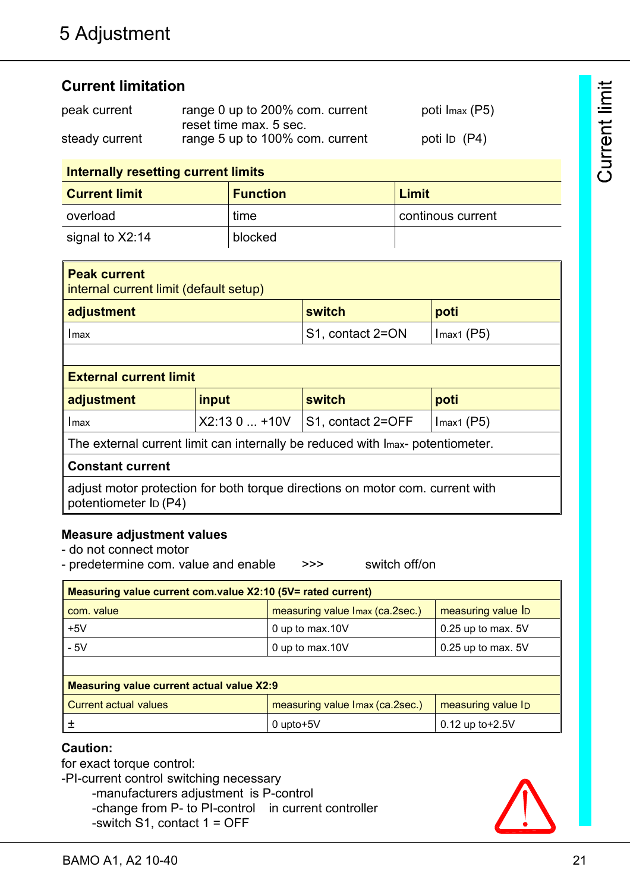# **Current limitation**

| peak current   | range 0 up to 200% com. current | poti Imax (P5)           |
|----------------|---------------------------------|--------------------------|
|                | reset time max. 5 sec.          |                          |
| steady current | range 5 up to 100% com. current | poti $\overline{D}$ (P4) |

## **Internally resetting current limits**

| <b>Current limit</b> | <b>Function</b> | Limit             |
|----------------------|-----------------|-------------------|
| overload             | time            | continous current |
| signal to X2:14      | blocked         |                   |

| <b>Peak current</b><br>internal current limit (default setup)                                                      |              |                   |              |  |
|--------------------------------------------------------------------------------------------------------------------|--------------|-------------------|--------------|--|
| switch<br>adjustment<br>poti                                                                                       |              |                   |              |  |
| Imax                                                                                                               |              | S1, contact 2=ON  | $Imax1$ (P5) |  |
|                                                                                                                    |              |                   |              |  |
| <b>External current limit</b>                                                                                      |              |                   |              |  |
| <b>switch</b><br>adjustment<br>input<br>poti                                                                       |              |                   |              |  |
| Imax                                                                                                               | $X2:130+10V$ | S1, contact 2=OFF | Imax1 (P5)   |  |
| The external current limit can internally be reduced with Imax- potentiometer.                                     |              |                   |              |  |
| <b>Constant current</b>                                                                                            |              |                   |              |  |
| adjust motor protection for both torque directions on motor com. current with<br>potentiometer I <sub>D</sub> (P4) |              |                   |              |  |

# **Measure adjustment values**

- do not connect motor
- predetermine com. value and enable  $\rightarrow$ >> switch off/on

| Measuring value current com.value X2:10 (5V= rated current) |                                 |                        |
|-------------------------------------------------------------|---------------------------------|------------------------|
| com. value                                                  | measuring value Imax (ca.2sec.) | measuring value ID     |
| $+5V$                                                       | 0 up to max.10V                 | $0.25$ up to max. $5V$ |
| $-5V$                                                       | 0 up to max.10V                 | $0.25$ up to max. 5V   |
|                                                             |                                 |                        |
| <b>Measuring value current actual value X2:9</b>            |                                 |                        |
| <b>Current actual values</b>                                | measuring value Imax (ca.2sec.) | measuring value ID     |
|                                                             | 0 upto+5V                       | $0.12$ up to +2.5V     |

# **Caution:**

for exact torque control:

-PI-current control switching necessary

-manufacturers adjustment is P-control -change from P- to PI-control in current controller -switch S1, contact 1 = OFF

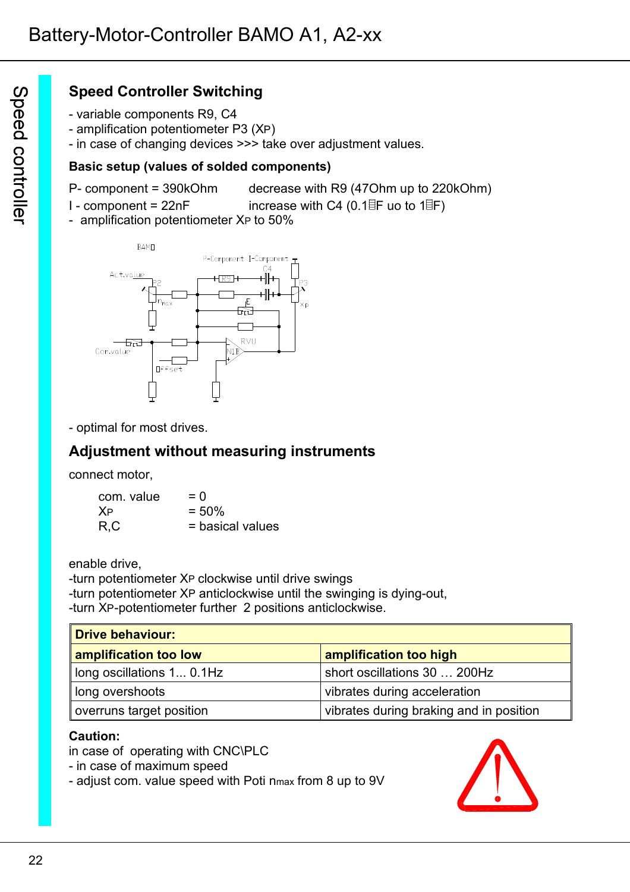# **Speed Controller Switching**

- variable components R9, C4
- amplification potentiometer P3 (XP)
- in case of changing devices >>> take over adjustment values.

## **Basic setup (values of solded components)**

- P- component = 390kOhm decrease with R9 (47Ohm up to 220kOhm)
- I component =  $22nF$  increase with C4 (0.1 F uo to 1 F F)
- amplification potentiometer XP to 50%



- optimal for most drives.

# **Adjustment without measuring instruments**

connect motor,

| com. value | $= 0$            |
|------------|------------------|
| <b>XP</b>  | $= 50\%$         |
| R, C       | = basical values |

enable drive,

-turn potentiometer XP clockwise until drive swings -turn potentiometer XP anticlockwise until the swinging is dying-out,

| -turn XP-potentiometer further 2 positions anticlockwise. |  |
|-----------------------------------------------------------|--|
|-----------------------------------------------------------|--|

| Drive behaviour:          |                                         |  |
|---------------------------|-----------------------------------------|--|
| amplification too low     | amplification too high                  |  |
| long oscillations 1 0.1Hz | short oscillations 30  200Hz            |  |
| long overshoots           | vibrates during acceleration            |  |
| overruns target position  | vibrates during braking and in position |  |

# **Caution:**

in case of operating with CNC\PLC

- in case of maximum speed

- adjust com. value speed with Poti nmax from 8 up to 9V

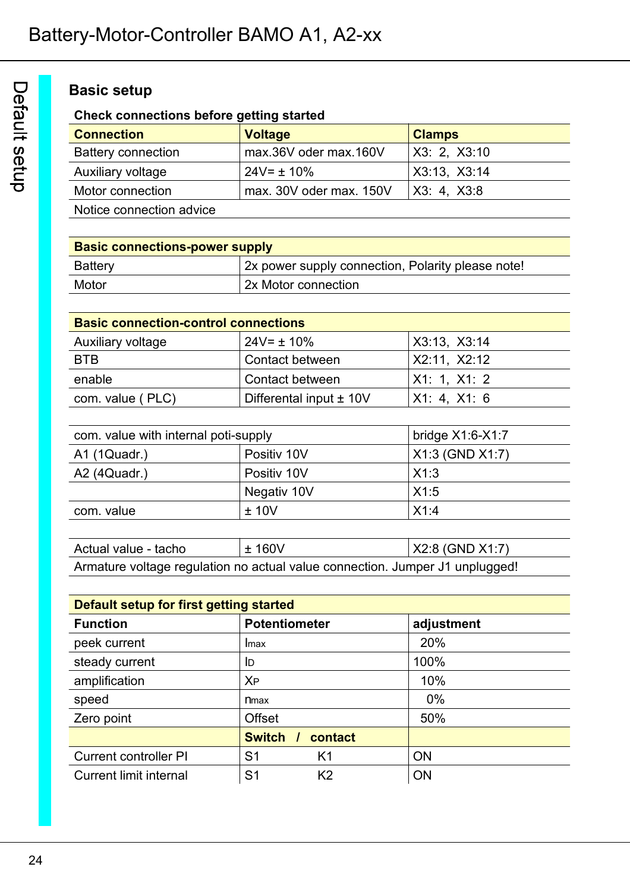# **Basic setup**

# **Check connections before getting started**

| <b>Connection</b>         | <b>Voltage</b>          | <b>Clamps</b> |
|---------------------------|-------------------------|---------------|
| <b>Battery connection</b> | max.36V oder max.160V   | X3: 2, X3:10  |
| Auxiliary voltage         | $24V = \pm 10\%$        | X3:13, X3:14  |
| Motor connection          | max. 30V oder max. 150V | X3: 4, X3:8   |
| Notice connection advice  |                         |               |

| <b>Basic connections-power supply</b> |                                                   |  |
|---------------------------------------|---------------------------------------------------|--|
| Battery                               | 2x power supply connection, Polarity please note! |  |
| Motor                                 | 2x Motor connection                               |  |

| <b>Basic connection-control connections</b> |                             |              |
|---------------------------------------------|-----------------------------|--------------|
| Auxiliary voltage                           | $24V = \pm 10\%$            | X3:13, X3:14 |
| <b>BTB</b>                                  | Contact between             | X2:11, X2:12 |
| enable                                      | Contact between             | X1: 1, X1: 2 |
| com. value (PLC)                            | Differental input $\pm$ 10V | X1: 4, X1: 6 |

| com. value with internal poti-supply |                                | bridge $X1:6-X1:7$ |
|--------------------------------------|--------------------------------|--------------------|
| A1 (1Quadr.)                         | X1:3 (GND X1:7)<br>Positiv 10V |                    |
| A2 (4Quadr.)                         | Positiv 10V                    | X1:3               |
|                                      | Negativ 10V                    | X1:5               |
| ± 10V<br>com. value                  |                                | X1:4               |
|                                      |                                |                    |

| Actual value - tacho                                                         | $\pm$ 160V | $\vert$ X2.8 (GND X1:7) |
|------------------------------------------------------------------------------|------------|-------------------------|
| Armature voltage regulation no actual value connection. Jumper J1 unplugged! |            |                         |

| Default setup for first getting started |                                  |            |  |  |  |  |
|-----------------------------------------|----------------------------------|------------|--|--|--|--|
| <b>Function</b>                         | <b>Potentiometer</b>             | adjustment |  |  |  |  |
| peek current                            | Imax                             | 20%        |  |  |  |  |
| steady current                          | ID                               | 100%       |  |  |  |  |
| amplification                           | $X_{P}$                          | 10%        |  |  |  |  |
| speed                                   | <b>n</b> max                     | $0\%$      |  |  |  |  |
| Zero point                              | <b>Offset</b>                    | 50%        |  |  |  |  |
|                                         | <b>Switch</b><br>contact         |            |  |  |  |  |
| <b>Current controller PI</b>            | S <sub>1</sub><br>K1             | <b>ON</b>  |  |  |  |  |
| <b>Current limit internal</b>           | S <sub>1</sub><br>K <sub>2</sub> | <b>ON</b>  |  |  |  |  |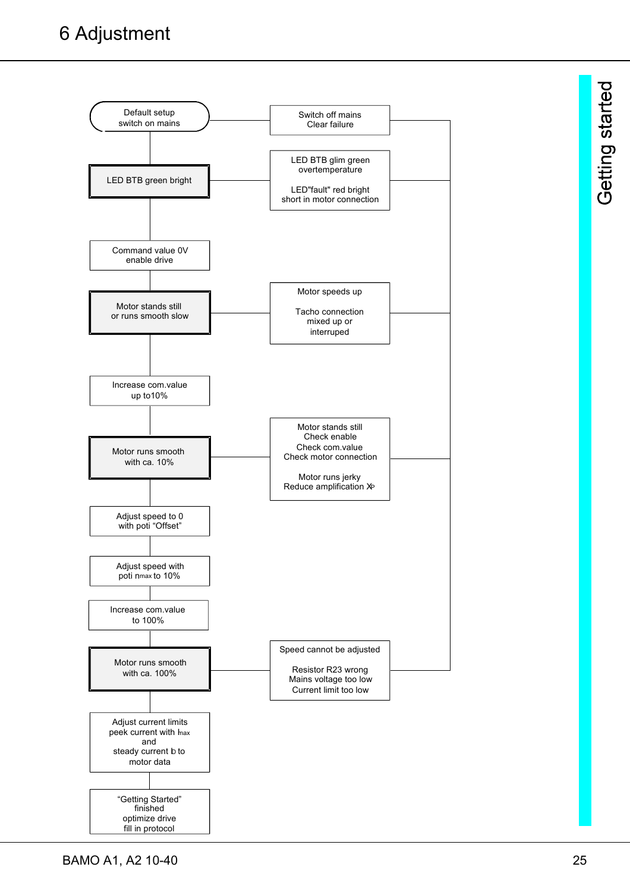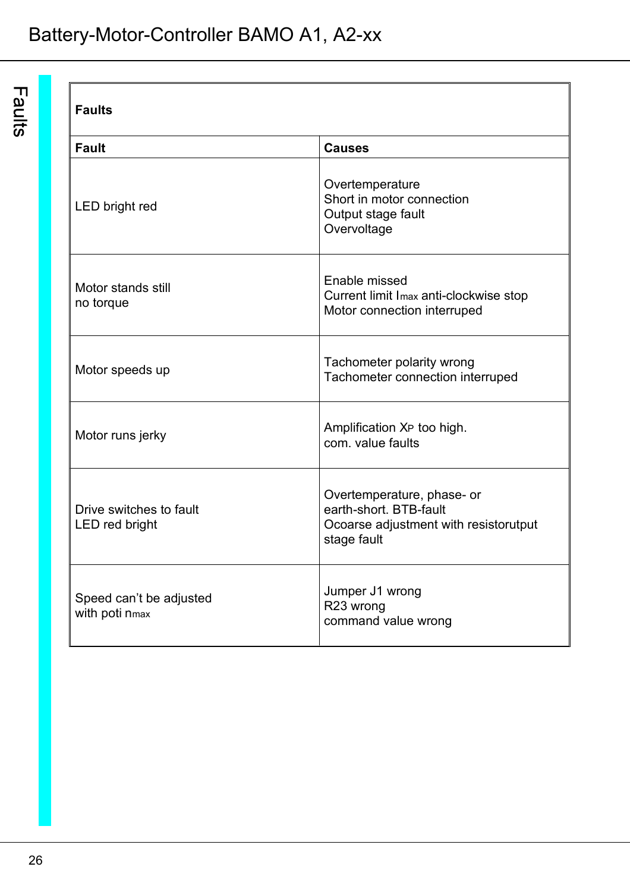# Battery-Motor-Controller BAMO A1, A2-xx

Faults

| <b>Faults</b>                             |                                                                                                              |  |  |  |
|-------------------------------------------|--------------------------------------------------------------------------------------------------------------|--|--|--|
| <b>Fault</b>                              | <b>Causes</b>                                                                                                |  |  |  |
| LED bright red                            | Overtemperature<br>Short in motor connection<br>Output stage fault<br>Overvoltage                            |  |  |  |
| Motor stands still<br>no torque           | Enable missed<br>Current limit Imax anti-clockwise stop<br>Motor connection interruped                       |  |  |  |
| Motor speeds up                           | Tachometer polarity wrong<br>Tachometer connection interruped                                                |  |  |  |
| Motor runs jerky                          | Amplification XP too high.<br>com. value faults                                                              |  |  |  |
| Drive switches to fault<br>LED red bright | Overtemperature, phase- or<br>earth-short. BTB-fault<br>Ocoarse adjustment with resistorutput<br>stage fault |  |  |  |
| Speed can't be adjusted<br>with poti nmax | Jumper J1 wrong<br>R23 wrong<br>command value wrong                                                          |  |  |  |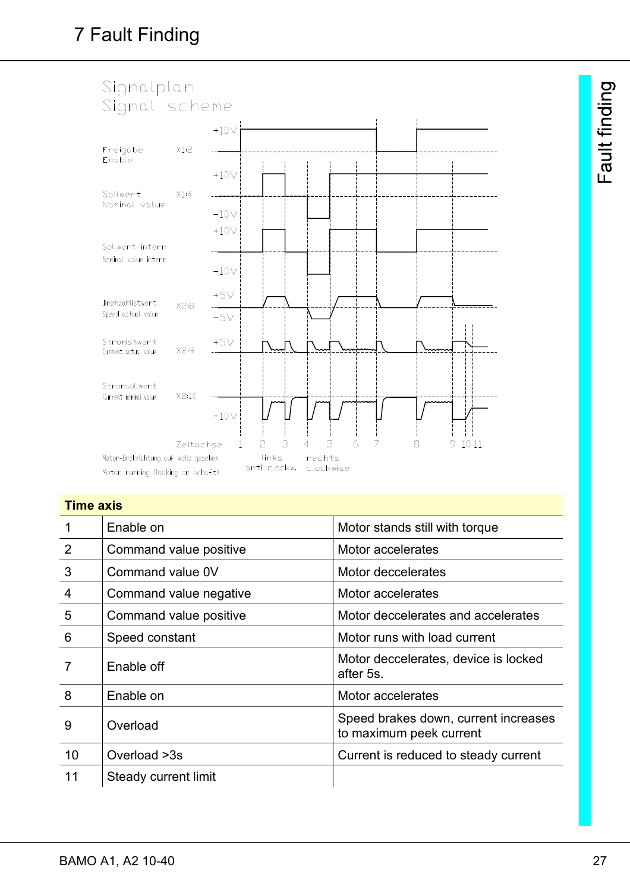

#### **Time axis**

|    | Enable on              | Motor stands still with torque                                  |
|----|------------------------|-----------------------------------------------------------------|
| 2  | Command value positive | Motor accelerates                                               |
| 3  | Command value 0V       | Motor deccelerates                                              |
| 4  | Command value negative | Motor accelerates                                               |
| 5  | Command value positive | Motor deccelerates and accelerates                              |
| 6  | Speed constant         | Motor runs with load current                                    |
|    | Enable off             | Motor deccelerates, device is locked<br>after 5s.               |
| 8  | Enable on              | Motor accelerates                                               |
| 9  | Overload               | Speed brakes down, current increases<br>to maximum peek current |
| 10 | Overload > 3s          | Current is reduced to steady current                            |
| 11 | Steady current limit   |                                                                 |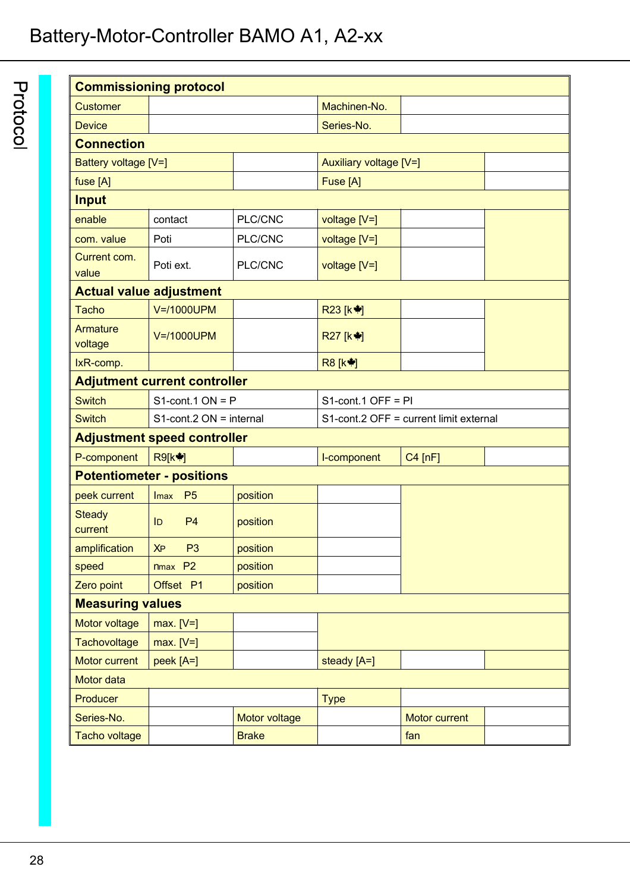# Battery-Motor-Controller BAMO A1, A2-xx

|  |  | <b>Commiss</b>      |
|--|--|---------------------|
|  |  | <b>Customer</b>     |
|  |  | <b>Device</b>       |
|  |  | <b>Connecti</b>     |
|  |  | <b>Battery volt</b> |
|  |  | fuse [A]            |

|                                             |                                     | <b>Commissioning protocol</b> |                                        |                      |  |  |  |  |  |
|---------------------------------------------|-------------------------------------|-------------------------------|----------------------------------------|----------------------|--|--|--|--|--|
| <b>Customer</b>                             |                                     |                               | Machinen-No.                           |                      |  |  |  |  |  |
| <b>Device</b>                               |                                     |                               | Series-No.                             |                      |  |  |  |  |  |
| <b>Connection</b>                           |                                     |                               |                                        |                      |  |  |  |  |  |
| Battery voltage [V=]                        |                                     |                               | Auxiliary voltage [V=]                 |                      |  |  |  |  |  |
| fuse [A]                                    |                                     |                               | Fuse [A]                               |                      |  |  |  |  |  |
| <b>Input</b>                                |                                     |                               |                                        |                      |  |  |  |  |  |
| enable                                      | contact                             | PLC/CNC                       | voltage [V=]                           |                      |  |  |  |  |  |
| com. value                                  | Poti                                | PLC/CNC                       | voltage [V=]                           |                      |  |  |  |  |  |
| Current com.<br>value                       | Poti ext.                           | PLC/CNC                       | voltage [V=]                           |                      |  |  |  |  |  |
| <b>Actual value adjustment</b>              |                                     |                               |                                        |                      |  |  |  |  |  |
| <b>Tacho</b>                                | V=/1000UPM                          |                               | R23 [k <a></a>                         |                      |  |  |  |  |  |
| Armature<br>voltage                         | V=/1000UPM                          |                               | R27 [k                                 |                      |  |  |  |  |  |
| IxR-comp.                                   |                                     |                               | R8 [k*]                                |                      |  |  |  |  |  |
|                                             | <b>Adjutment current controller</b> |                               |                                        |                      |  |  |  |  |  |
| <b>Switch</b>                               | $S1$ -cont.1 ON = P                 |                               | $S1$ -cont.1 OFF = PI                  |                      |  |  |  |  |  |
| $S1$ -cont.2 ON = internal<br><b>Switch</b> |                                     |                               | S1-cont.2 OFF = current limit external |                      |  |  |  |  |  |
|                                             | <b>Adjustment speed controller</b>  |                               |                                        |                      |  |  |  |  |  |
| P-component                                 | <b>R9[k*]</b>                       |                               | I-component                            | $C4$ [nF]            |  |  |  |  |  |
|                                             | <b>Potentiometer - positions</b>    |                               |                                        |                      |  |  |  |  |  |
| peek current                                | P <sub>5</sub><br><b>Imax</b>       | position                      |                                        |                      |  |  |  |  |  |
| <b>Steady</b><br>current                    | P <sub>4</sub><br>ID                | position                      |                                        |                      |  |  |  |  |  |
| amplification                               | P <sub>3</sub><br><b>XP</b>         | position                      |                                        |                      |  |  |  |  |  |
| speed                                       | nmax P2                             | position                      |                                        |                      |  |  |  |  |  |
| Zero point                                  | Offset P1                           | position                      |                                        |                      |  |  |  |  |  |
| <b>Measuring values</b>                     |                                     |                               |                                        |                      |  |  |  |  |  |
| Motor voltage                               | $max. [V=]$                         |                               |                                        |                      |  |  |  |  |  |
| <b>Tachovoltage</b>                         | $max. [V=]$                         |                               |                                        |                      |  |  |  |  |  |
| <b>Motor current</b>                        | $peek[A=]$                          |                               | steady [A=]                            |                      |  |  |  |  |  |
| Motor data                                  |                                     |                               |                                        |                      |  |  |  |  |  |
| Producer                                    |                                     |                               | <b>Type</b>                            |                      |  |  |  |  |  |
| Series-No.                                  |                                     | Motor voltage                 |                                        | <b>Motor current</b> |  |  |  |  |  |
| Tacho voltage                               |                                     | <b>Brake</b>                  |                                        | fan                  |  |  |  |  |  |

 $\overline{\mathsf{I}}$